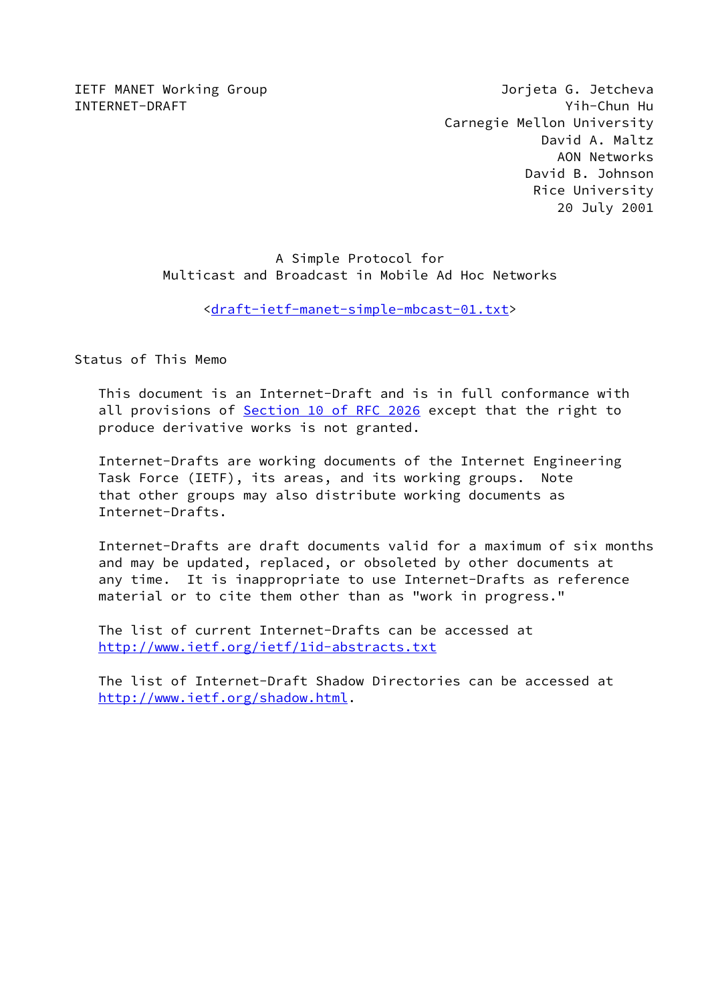IETF MANET Working Group 1997 1997 1997 1998 Jorjeta G. Jetcheva INTERNET-DRAFT Yih-Chun Hu Carnegie Mellon University David A. Maltz AON Networks David B. Johnson Rice University 20 July 2001

> A Simple Protocol for Multicast and Broadcast in Mobile Ad Hoc Networks

> > [<draft-ietf-manet-simple-mbcast-01.txt>](https://datatracker.ietf.org/doc/pdf/draft-ietf-manet-simple-mbcast-01.txt)

Status of This Memo

 This document is an Internet-Draft and is in full conformance with all provisions of Section [10 of RFC 2026](https://datatracker.ietf.org/doc/pdf/rfc2026#section-10) except that the right to produce derivative works is not granted.

 Internet-Drafts are working documents of the Internet Engineering Task Force (IETF), its areas, and its working groups. Note that other groups may also distribute working documents as Internet-Drafts.

 Internet-Drafts are draft documents valid for a maximum of six months and may be updated, replaced, or obsoleted by other documents at any time. It is inappropriate to use Internet-Drafts as reference material or to cite them other than as "work in progress."

 The list of current Internet-Drafts can be accessed at <http://www.ietf.org/ietf/1id-abstracts.txt>

 The list of Internet-Draft Shadow Directories can be accessed at <http://www.ietf.org/shadow.html>.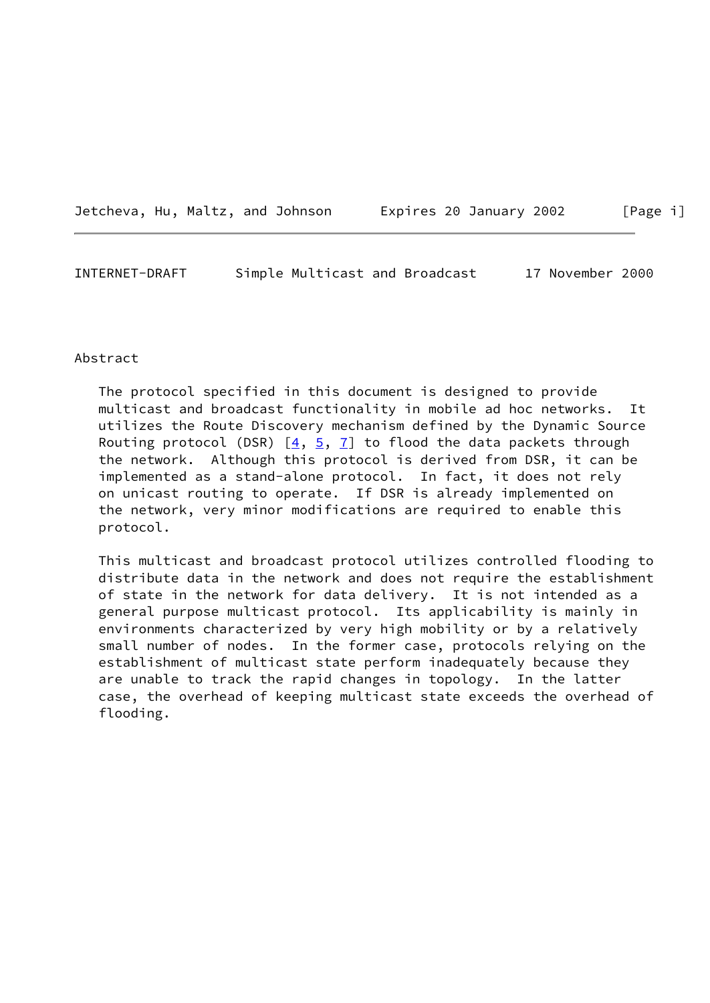Jetcheva, Hu, Maltz, and Johnson Expires 20 January 2002 [Page i]

INTERNET-DRAFT Simple Multicast and Broadcast 17 November 2000

### Abstract

 The protocol specified in this document is designed to provide multicast and broadcast functionality in mobile ad hoc networks. It utilizes the Route Discovery mechanism defined by the Dynamic Source Routing protocol (DSR)  $[4, 5, 7]$  $[4, 5, 7]$  $[4, 5, 7]$  $[4, 5, 7]$  to flood the data packets through the network. Although this protocol is derived from DSR, it can be implemented as a stand-alone protocol. In fact, it does not rely on unicast routing to operate. If DSR is already implemented on the network, very minor modifications are required to enable this protocol.

 This multicast and broadcast protocol utilizes controlled flooding to distribute data in the network and does not require the establishment of state in the network for data delivery. It is not intended as a general purpose multicast protocol. Its applicability is mainly in environments characterized by very high mobility or by a relatively small number of nodes. In the former case, protocols relying on the establishment of multicast state perform inadequately because they are unable to track the rapid changes in topology. In the latter case, the overhead of keeping multicast state exceeds the overhead of flooding.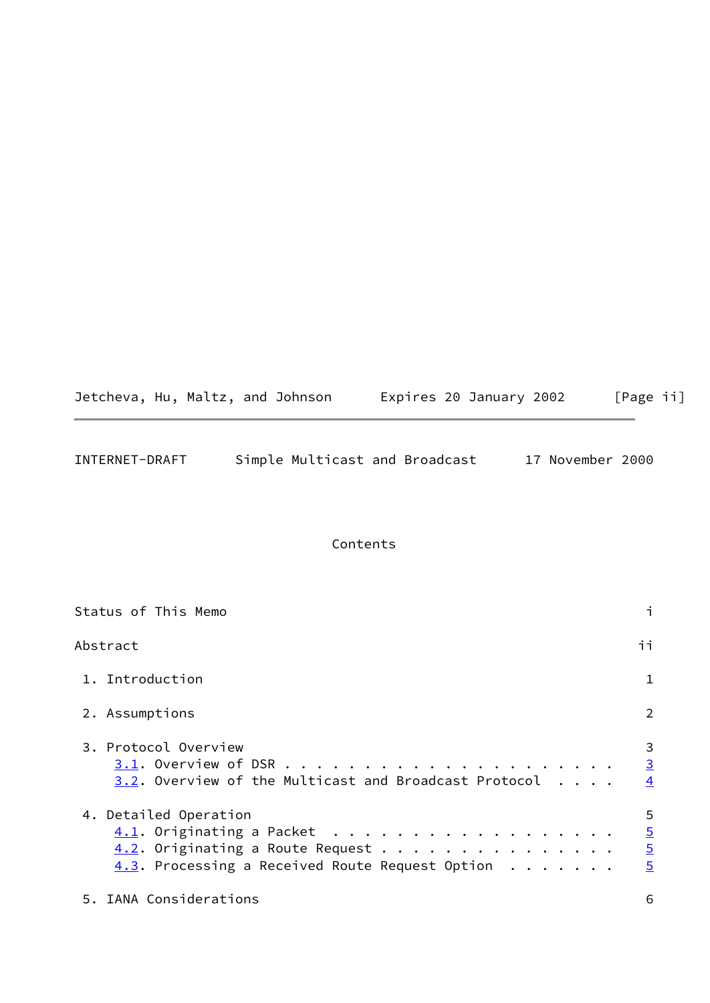| Jetcheva, Hu, Maltz, and Johnson | Expires 20 January 2002 | [Page ii] |
|----------------------------------|-------------------------|-----------|
|----------------------------------|-------------------------|-----------|

| INTERNET-DRAFT |  |  |  | Simple Multicast and Broadcast |  | 17 November 2000 |  |
|----------------|--|--|--|--------------------------------|--|------------------|--|
|----------------|--|--|--|--------------------------------|--|------------------|--|

Contents

| Status of This Memo                                                                                                | i                  |
|--------------------------------------------------------------------------------------------------------------------|--------------------|
| Abstract                                                                                                           | ii                 |
| 1. Introduction                                                                                                    | 1                  |
| 2. Assumptions                                                                                                     | 2                  |
| 3. Protocol Overview<br>3.2. Overview of the Multicast and Broadcast Protocol                                      | 3<br>$\frac{3}{4}$ |
| 4. Detailed Operation<br>$4.2$ . Originating a Route Request<br>$4.3$ . Processing a Received Route Request Option | 5<br>$rac{5}{5}$   |
| 5. IANA Considerations                                                                                             | 6                  |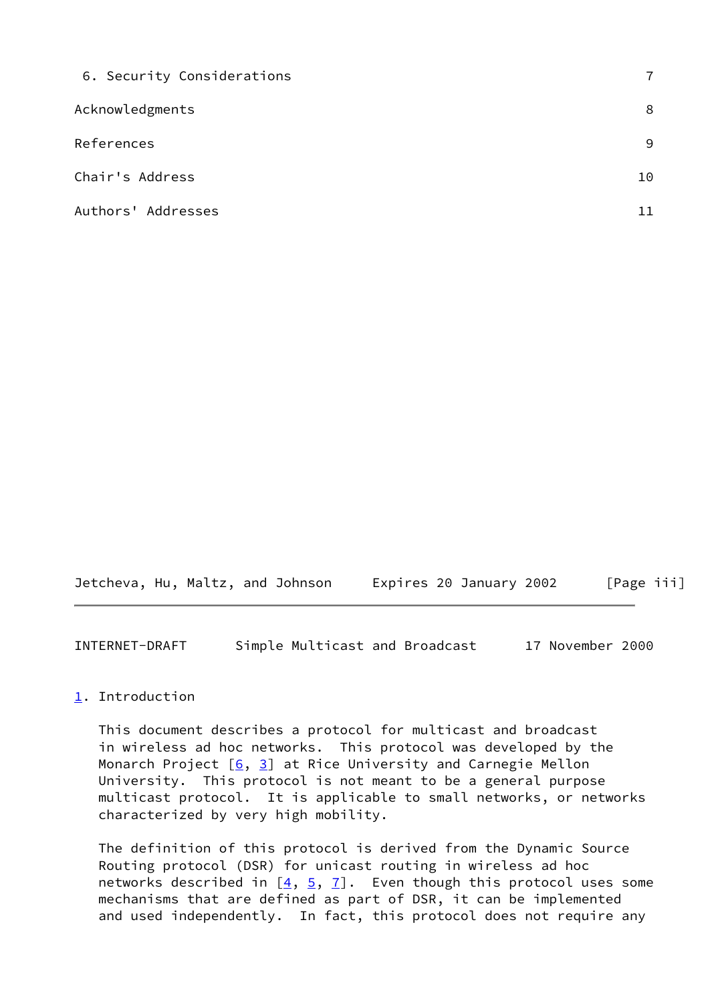| 6. Security Considerations | 7  |
|----------------------------|----|
| Acknowledgments            | 8  |
| References                 | 9  |
| Chair's Address            | 10 |
| Authors' Addresses         | 11 |

| Jetcheva, Hu, Maltz, and Johnson | Expires 20 January 2002 | [Page iii] |
|----------------------------------|-------------------------|------------|
|----------------------------------|-------------------------|------------|

INTERNET-DRAFT Simple Multicast and Broadcast 17 November 2000

## <span id="page-3-0"></span>[1](#page-3-0). Introduction

 This document describes a protocol for multicast and broadcast in wireless ad hoc networks. This protocol was developed by the Monarch Project  $[6, 3]$  $[6, 3]$  $[6, 3]$  at Rice University and Carnegie Mellon University. This protocol is not meant to be a general purpose multicast protocol. It is applicable to small networks, or networks characterized by very high mobility.

 The definition of this protocol is derived from the Dynamic Source Routing protocol (DSR) for unicast routing in wireless ad hoc networks described in  $[4, 5, 7]$  $[4, 5, 7]$  $[4, 5, 7]$  $[4, 5, 7]$  $[4, 5, 7]$ . Even though this protocol uses some mechanisms that are defined as part of DSR, it can be implemented and used independently. In fact, this protocol does not require any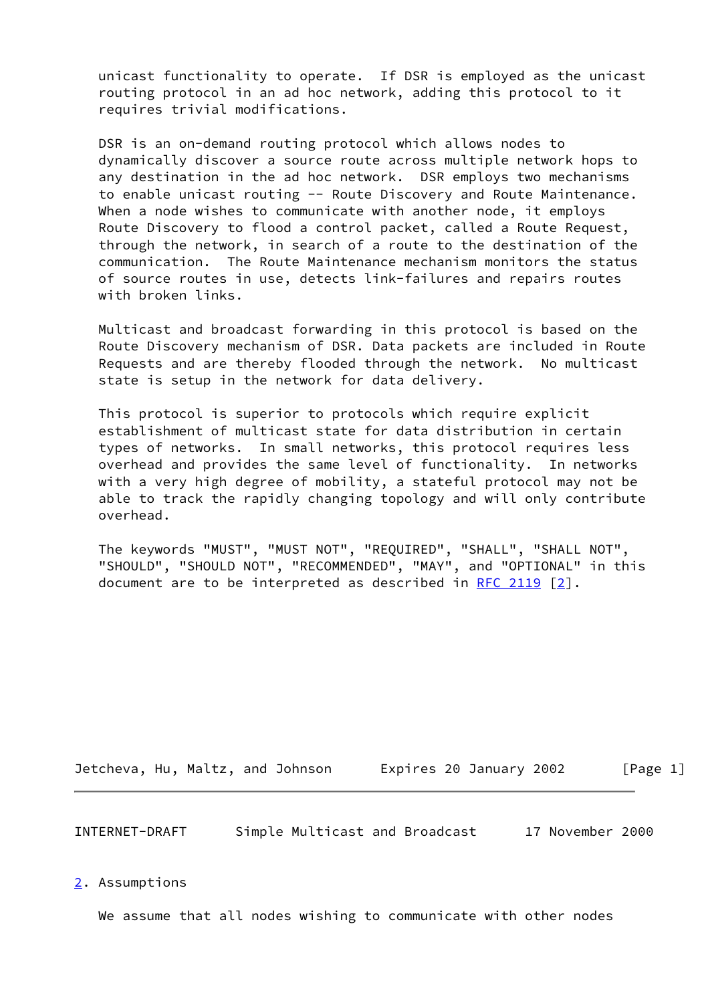unicast functionality to operate. If DSR is employed as the unicast routing protocol in an ad hoc network, adding this protocol to it requires trivial modifications.

 DSR is an on-demand routing protocol which allows nodes to dynamically discover a source route across multiple network hops to any destination in the ad hoc network. DSR employs two mechanisms to enable unicast routing -- Route Discovery and Route Maintenance. When a node wishes to communicate with another node, it employs Route Discovery to flood a control packet, called a Route Request, through the network, in search of a route to the destination of the communication. The Route Maintenance mechanism monitors the status of source routes in use, detects link-failures and repairs routes with broken links.

 Multicast and broadcast forwarding in this protocol is based on the Route Discovery mechanism of DSR. Data packets are included in Route Requests and are thereby flooded through the network. No multicast state is setup in the network for data delivery.

 This protocol is superior to protocols which require explicit establishment of multicast state for data distribution in certain types of networks. In small networks, this protocol requires less overhead and provides the same level of functionality. In networks with a very high degree of mobility, a stateful protocol may not be able to track the rapidly changing topology and will only contribute overhead.

 The keywords "MUST", "MUST NOT", "REQUIRED", "SHALL", "SHALL NOT", "SHOULD", "SHOULD NOT", "RECOMMENDED", "MAY", and "OPTIONAL" in this document are to be interpreted as described in [RFC 2119](https://datatracker.ietf.org/doc/pdf/rfc2119)  $[2]$  $[2]$ .

Jetcheva, Hu, Maltz, and Johnson Expires 20 January 2002 [Page 1]

INTERNET-DRAFT Simple Multicast and Broadcast 17 November 2000

<span id="page-4-0"></span>[2](#page-4-0). Assumptions

We assume that all nodes wishing to communicate with other nodes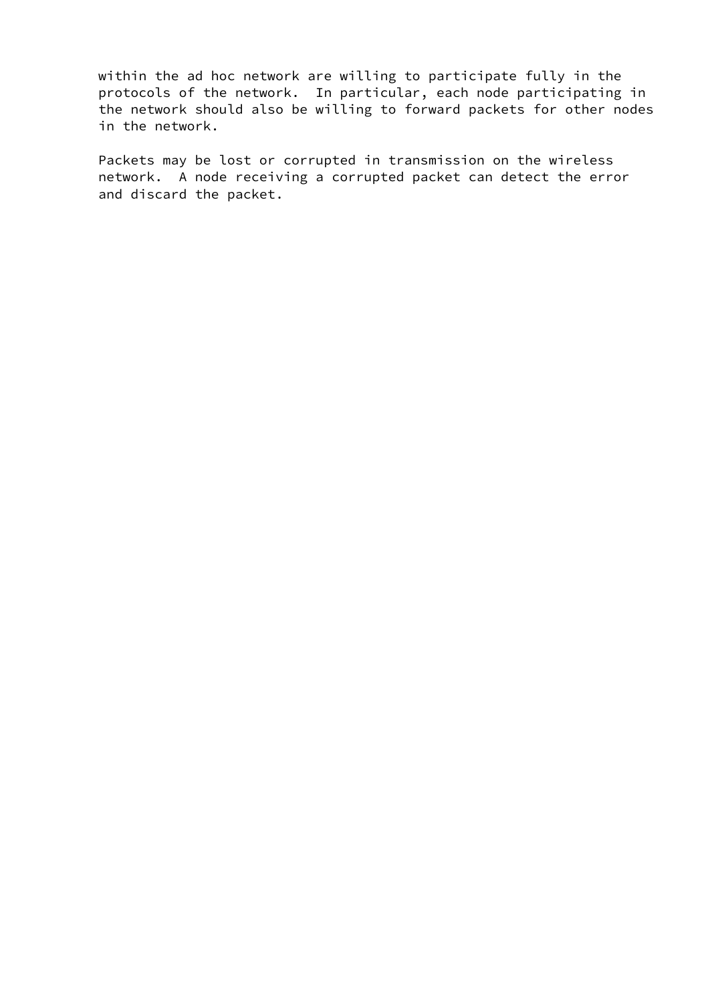within the ad hoc network are willing to participate fully in the protocols of the network. In particular, each node participating in the network should also be willing to forward packets for other nodes in the network.

 Packets may be lost or corrupted in transmission on the wireless network. A node receiving a corrupted packet can detect the error and discard the packet.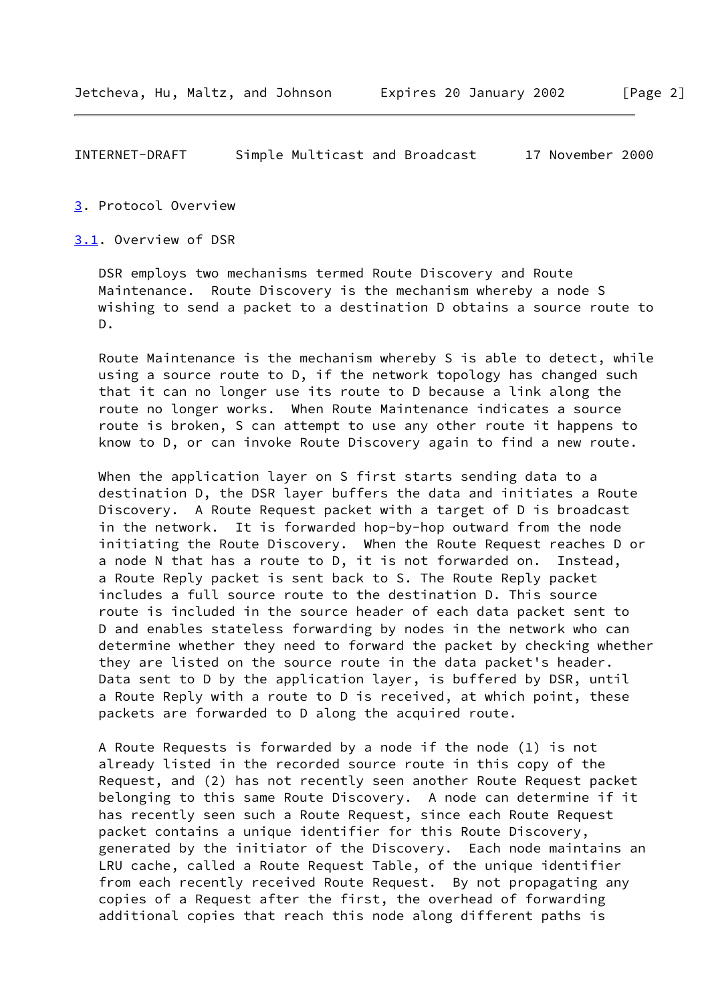<span id="page-6-1"></span>INTERNET-DRAFT Simple Multicast and Broadcast 17 November 2000

### <span id="page-6-2"></span>[3](#page-6-2). Protocol Overview

<span id="page-6-0"></span>[3.1](#page-6-0). Overview of DSR

 DSR employs two mechanisms termed Route Discovery and Route Maintenance. Route Discovery is the mechanism whereby a node S wishing to send a packet to a destination D obtains a source route to D.

 Route Maintenance is the mechanism whereby S is able to detect, while using a source route to D, if the network topology has changed such that it can no longer use its route to D because a link along the route no longer works. When Route Maintenance indicates a source route is broken, S can attempt to use any other route it happens to know to D, or can invoke Route Discovery again to find a new route.

 When the application layer on S first starts sending data to a destination D, the DSR layer buffers the data and initiates a Route Discovery. A Route Request packet with a target of D is broadcast in the network. It is forwarded hop-by-hop outward from the node initiating the Route Discovery. When the Route Request reaches D or a node N that has a route to D, it is not forwarded on. Instead, a Route Reply packet is sent back to S. The Route Reply packet includes a full source route to the destination D. This source route is included in the source header of each data packet sent to D and enables stateless forwarding by nodes in the network who can determine whether they need to forward the packet by checking whether they are listed on the source route in the data packet's header. Data sent to D by the application layer, is buffered by DSR, until a Route Reply with a route to D is received, at which point, these packets are forwarded to D along the acquired route.

 A Route Requests is forwarded by a node if the node (1) is not already listed in the recorded source route in this copy of the Request, and (2) has not recently seen another Route Request packet belonging to this same Route Discovery. A node can determine if it has recently seen such a Route Request, since each Route Request packet contains a unique identifier for this Route Discovery, generated by the initiator of the Discovery. Each node maintains an LRU cache, called a Route Request Table, of the unique identifier from each recently received Route Request. By not propagating any copies of a Request after the first, the overhead of forwarding additional copies that reach this node along different paths is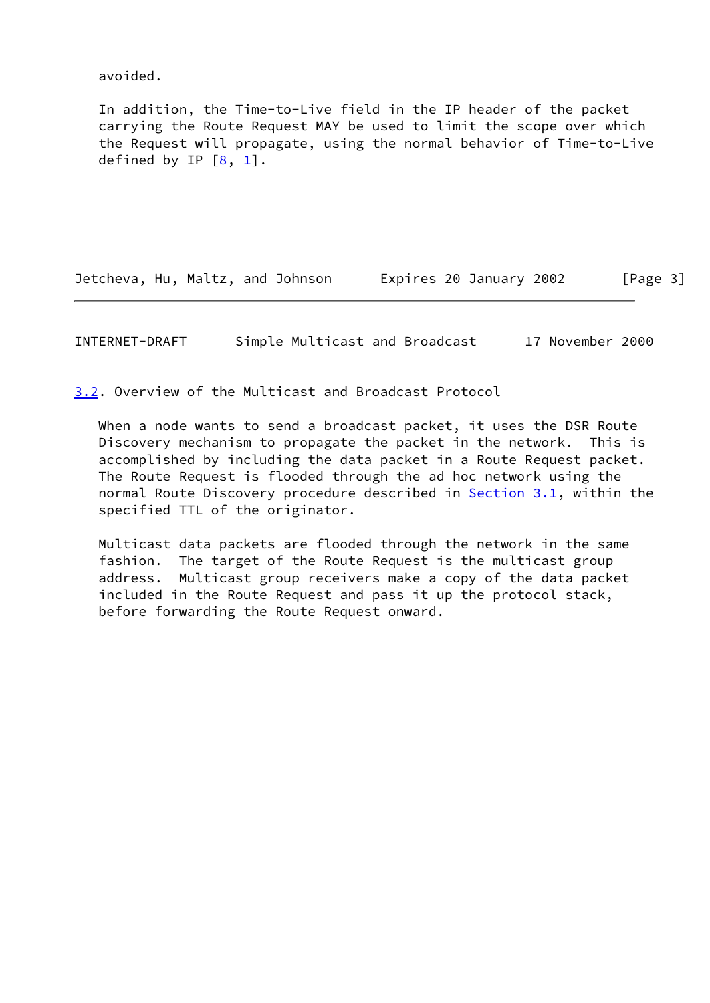avoided.

 In addition, the Time-to-Live field in the IP header of the packet carrying the Route Request MAY be used to limit the scope over which the Request will propagate, using the normal behavior of Time-to-Live defined by IP  $[8, 1]$  $[8, 1]$  $[8, 1]$ .

Jetcheva, Hu, Maltz, and Johnson Expires 20 January 2002 [Page 3]

<span id="page-7-1"></span>INTERNET-DRAFT Simple Multicast and Broadcast 17 November 2000

<span id="page-7-0"></span>[3.2](#page-7-0). Overview of the Multicast and Broadcast Protocol

 When a node wants to send a broadcast packet, it uses the DSR Route Discovery mechanism to propagate the packet in the network. This is accomplished by including the data packet in a Route Request packet. The Route Request is flooded through the ad hoc network using the normal Route Discovery procedure described in **Section 3.1**, within the specified TTL of the originator.

 Multicast data packets are flooded through the network in the same fashion. The target of the Route Request is the multicast group address. Multicast group receivers make a copy of the data packet included in the Route Request and pass it up the protocol stack, before forwarding the Route Request onward.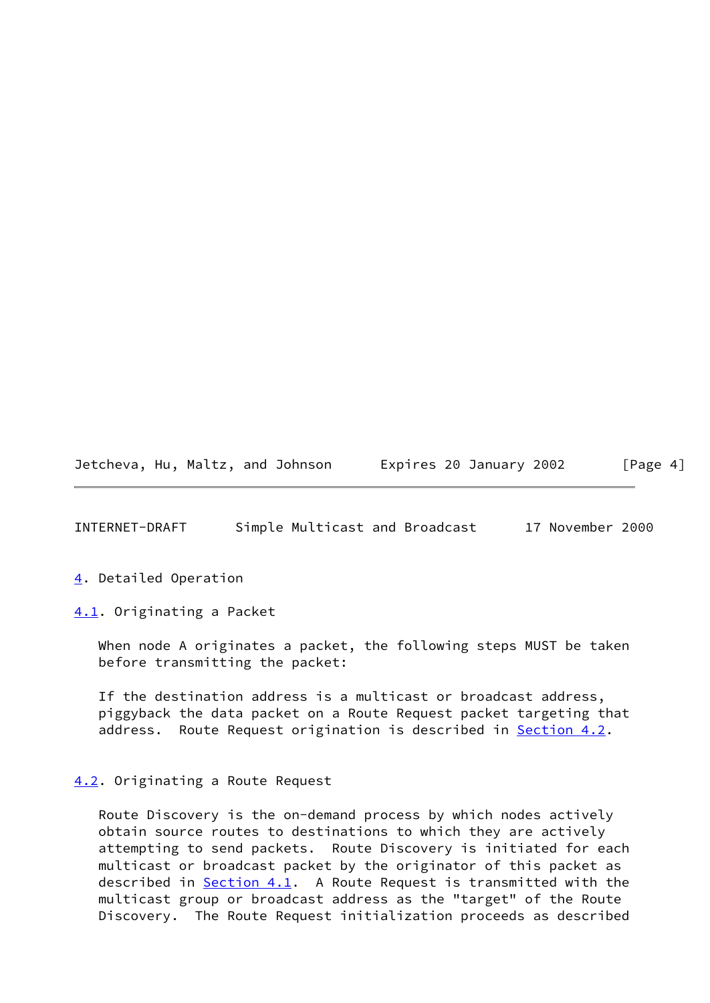Jetcheva, Hu, Maltz, and Johnson Expires 20 January 2002 [Page 4]

<span id="page-8-1"></span>INTERNET-DRAFT Simple Multicast and Broadcast 17 November 2000

<span id="page-8-3"></span>[4](#page-8-3). Detailed Operation

<span id="page-8-0"></span>[4.1](#page-8-0). Originating a Packet

 When node A originates a packet, the following steps MUST be taken before transmitting the packet:

 If the destination address is a multicast or broadcast address, piggyback the data packet on a Route Request packet targeting that address. Route Request origination is described in [Section 4.2.](#page-8-2)

#### <span id="page-8-2"></span>[4.2](#page-8-2). Originating a Route Request

 Route Discovery is the on-demand process by which nodes actively obtain source routes to destinations to which they are actively attempting to send packets. Route Discovery is initiated for each multicast or broadcast packet by the originator of this packet as described in [Section 4.1](#page-8-0). A Route Request is transmitted with the multicast group or broadcast address as the "target" of the Route Discovery. The Route Request initialization proceeds as described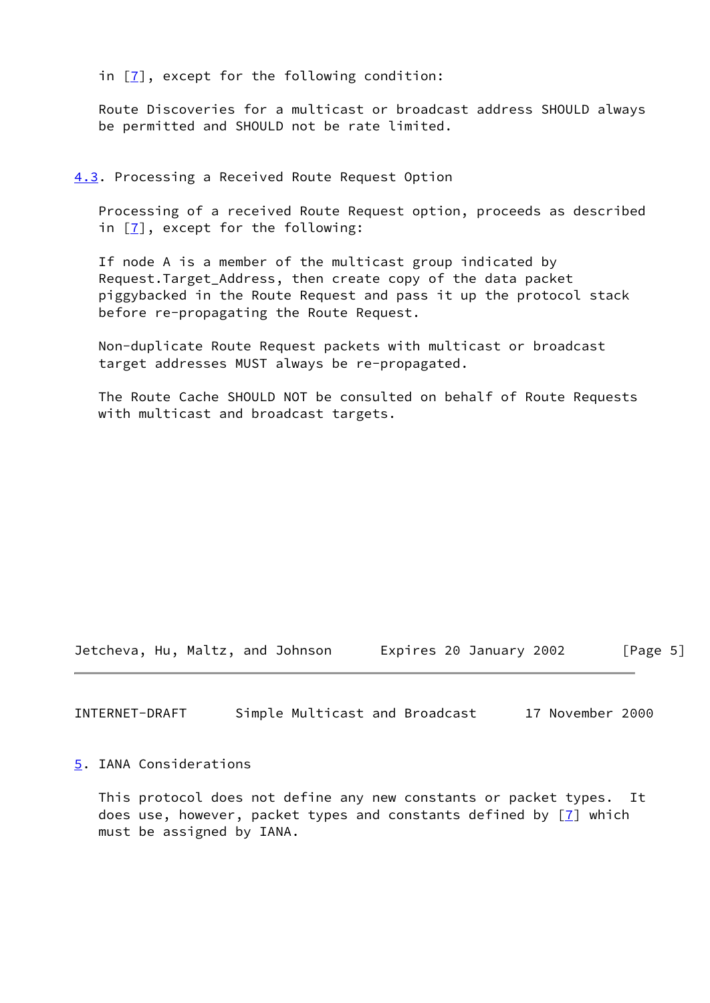in  $[7]$  $[7]$ , except for the following condition:

 Route Discoveries for a multicast or broadcast address SHOULD always be permitted and SHOULD not be rate limited.

<span id="page-9-0"></span>[4.3](#page-9-0). Processing a Received Route Request Option

 Processing of a received Route Request option, proceeds as described in  $[7]$  $[7]$ , except for the following:

 If node A is a member of the multicast group indicated by Request.Target\_Address, then create copy of the data packet piggybacked in the Route Request and pass it up the protocol stack before re-propagating the Route Request.

 Non-duplicate Route Request packets with multicast or broadcast target addresses MUST always be re-propagated.

 The Route Cache SHOULD NOT be consulted on behalf of Route Requests with multicast and broadcast targets.

Jetcheva, Hu, Maltz, and Johnson Expires 20 January 2002 [Page 5]

INTERNET-DRAFT Simple Multicast and Broadcast 17 November 2000

<span id="page-9-1"></span>[5](#page-9-1). IANA Considerations

 This protocol does not define any new constants or packet types. It does use, however, packet types and constants defined by  $[7]$  which must be assigned by IANA.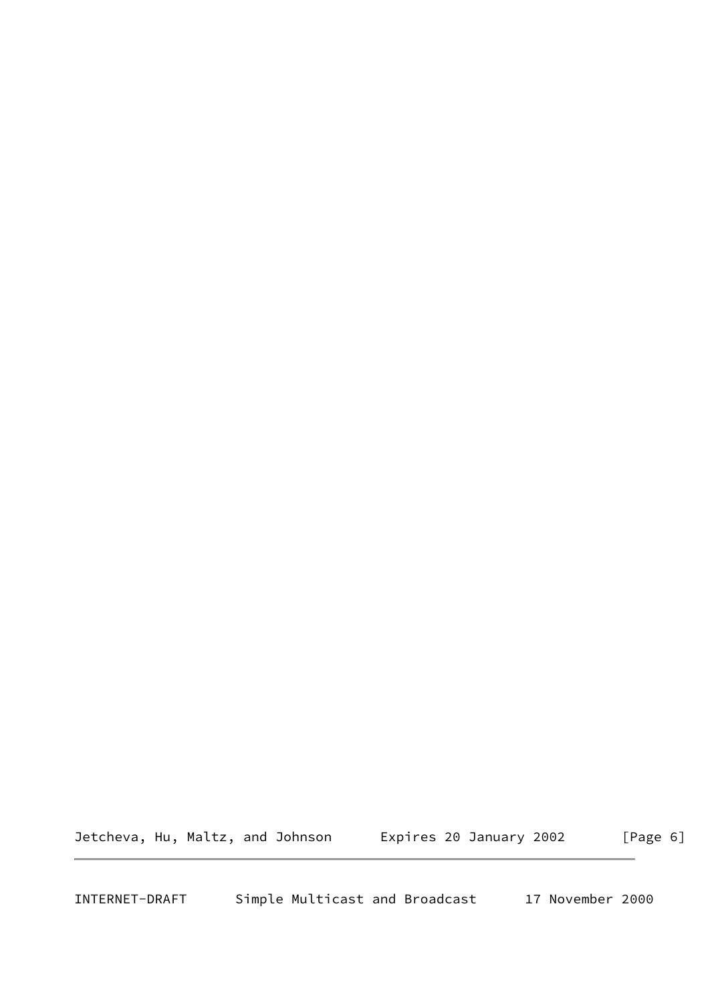Jetcheva, Hu, Maltz, and Johnson Fxpires 20 January 2002 [Page 6]

INTERNET-DRAFT Simple Multicast and Broadcast 17 November 2000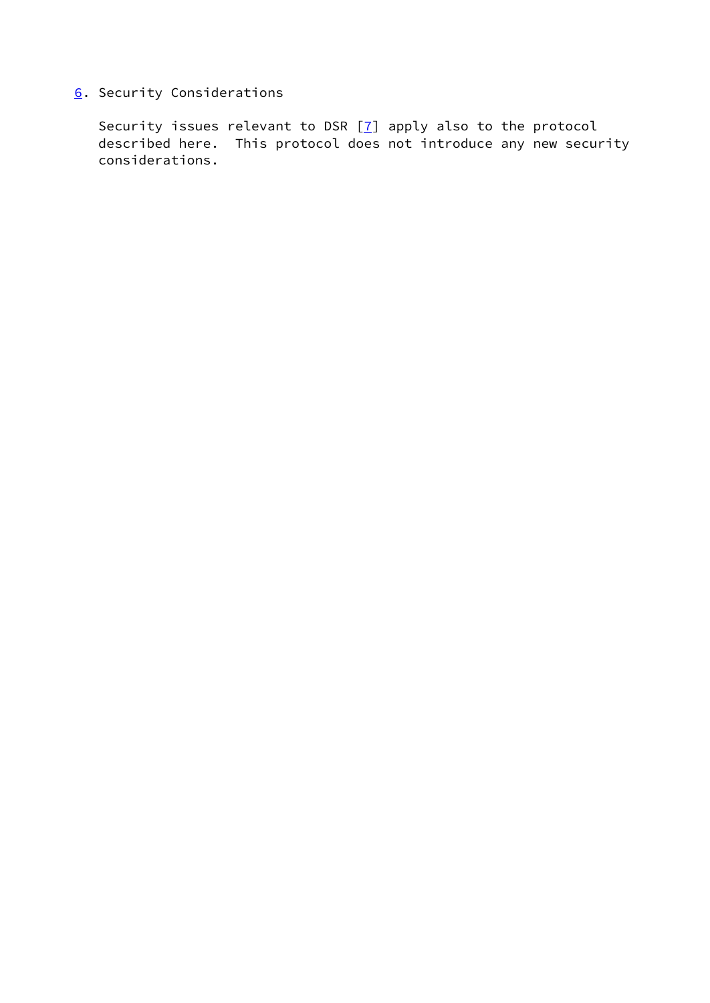# <span id="page-11-0"></span>[6](#page-11-0). Security Considerations

Security issues relevant to DSR [\[7](#page-13-2)] apply also to the protocol described here. This protocol does not introduce any new security considerations.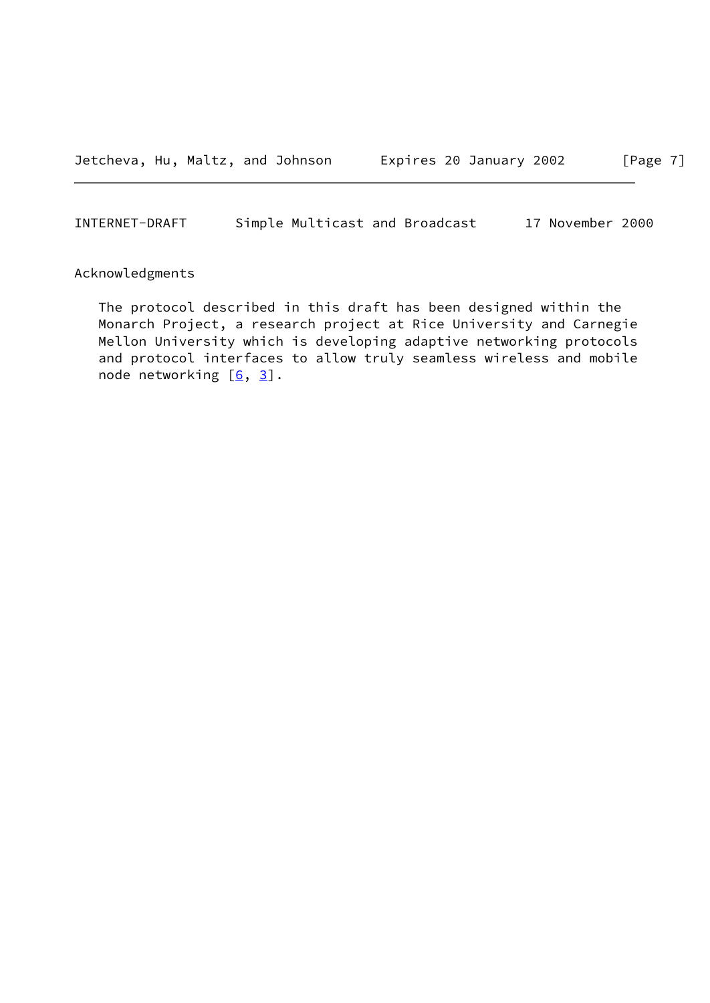INTERNET-DRAFT Simple Multicast and Broadcast 17 November 2000

### Acknowledgments

 The protocol described in this draft has been designed within the Monarch Project, a research project at Rice University and Carnegie Mellon University which is developing adaptive networking protocols and protocol interfaces to allow truly seamless wireless and mobile node networking  $[6, 3]$  $[6, 3]$  $[6, 3]$ .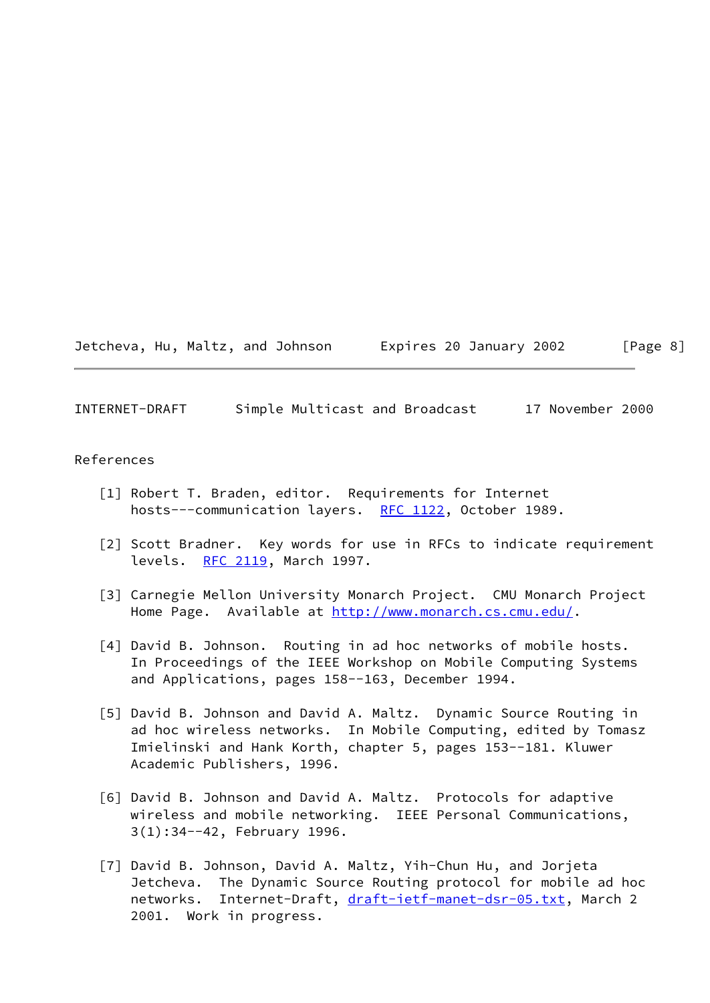Jetcheva, Hu, Maltz, and Johnson Expires 20 January 2002 [Page 8]

INTERNET-DRAFT Simple Multicast and Broadcast 17 November 2000

### References

- <span id="page-13-6"></span>[1] Robert T. Braden, editor. Requirements for Internet hosts---communication layers. [RFC 1122,](https://datatracker.ietf.org/doc/pdf/rfc1122) October 1989.
- <span id="page-13-5"></span> [2] Scott Bradner. Key words for use in RFCs to indicate requirement levels. [RFC 2119](https://datatracker.ietf.org/doc/pdf/rfc2119), March 1997.
- <span id="page-13-4"></span> [3] Carnegie Mellon University Monarch Project. CMU Monarch Project Home Page. Available at<http://www.monarch.cs.cmu.edu/>.
- <span id="page-13-0"></span> [4] David B. Johnson. Routing in ad hoc networks of mobile hosts. In Proceedings of the IEEE Workshop on Mobile Computing Systems and Applications, pages 158--163, December 1994.
- <span id="page-13-1"></span> [5] David B. Johnson and David A. Maltz. Dynamic Source Routing in ad hoc wireless networks. In Mobile Computing, edited by Tomasz Imielinski and Hank Korth, chapter 5, pages 153--181. Kluwer Academic Publishers, 1996.
- <span id="page-13-3"></span> [6] David B. Johnson and David A. Maltz. Protocols for adaptive wireless and mobile networking. IEEE Personal Communications, 3(1):34--42, February 1996.
- <span id="page-13-2"></span> [7] David B. Johnson, David A. Maltz, Yih-Chun Hu, and Jorjeta Jetcheva. The Dynamic Source Routing protocol for mobile ad hoc networks. Internet-Draft, [draft-ietf-manet-dsr-05.txt](https://datatracker.ietf.org/doc/pdf/draft-ietf-manet-dsr-05.txt), March 2 2001. Work in progress.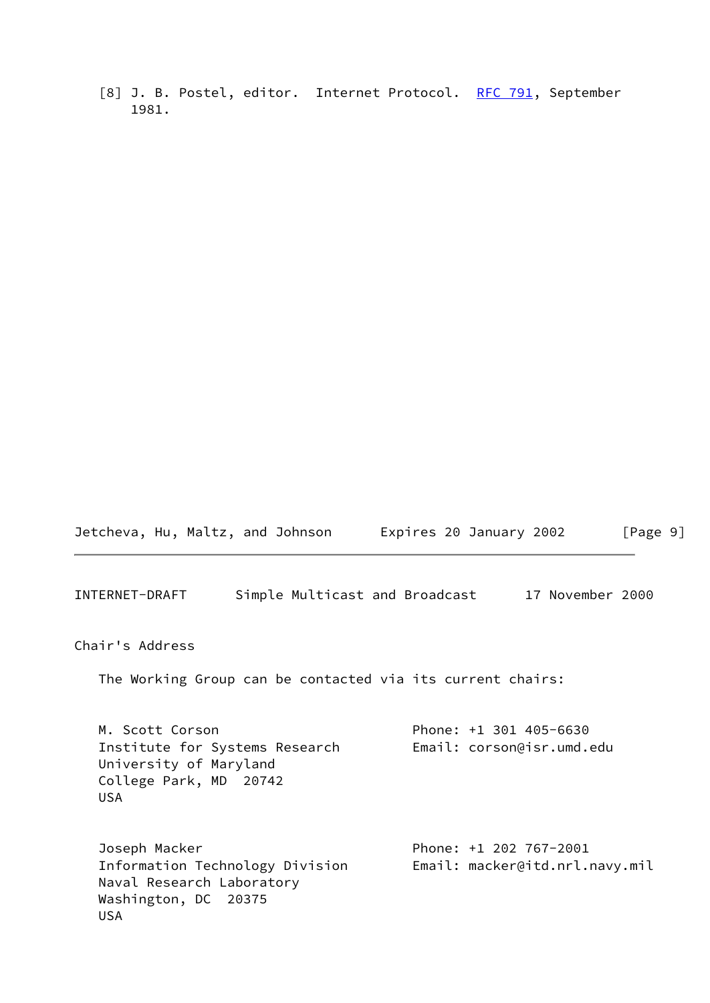<span id="page-14-0"></span>[8] J. B. Postel, editor. Internet Protocol. [RFC 791](https://datatracker.ietf.org/doc/pdf/rfc791), September 1981.

| Jetcheva, Hu, Maltz, and Johnson                                                                                    | Expires 20 January 2002  |                                | [Page 9] |
|---------------------------------------------------------------------------------------------------------------------|--------------------------|--------------------------------|----------|
| INTERNET-DRAFT<br>Simple Multicast and Broadcast 17 November 2000                                                   |                          |                                |          |
| Chair's Address                                                                                                     |                          |                                |          |
| The Working Group can be contacted via its current chairs:                                                          |                          |                                |          |
| M. Scott Corson<br>Institute for Systems Research<br>University of Maryland<br>College Park, MD 20742<br><b>USA</b> | Phone: $+1$ 301 405-6630 | Email: corson@isr.umd.edu      |          |
| Joseph Macker<br>Information Technology Division<br>Naval Research Laboratory<br>Washington, DC 20375<br><b>USA</b> | Phone: +1 202 767-2001   | Email: macker@itd.nrl.navy.mil |          |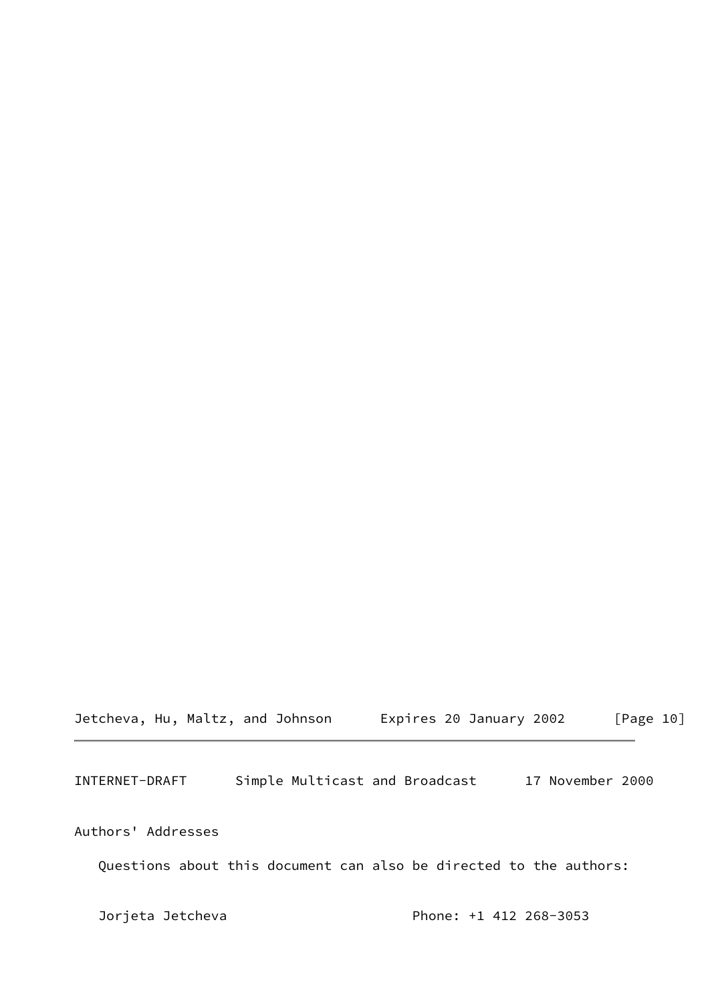Jetcheva, Hu, Maltz, and Johnson Expires 20 January 2002 [Page 10]

INTERNET-DRAFT Simple Multicast and Broadcast 17 November 2000

Authors' Addresses

Questions about this document can also be directed to the authors: